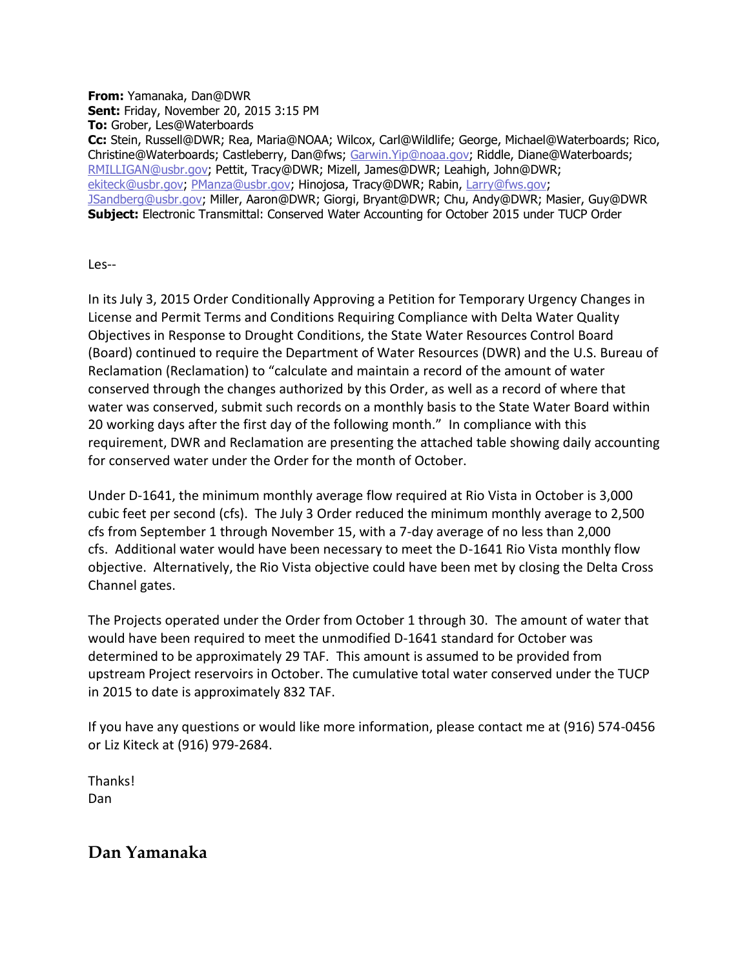**From:** Yamanaka, Dan@DWR **Sent:** Friday, November 20, 2015 3:15 PM **To:** Grober, Les@Waterboards **Cc:** Stein, Russell@DWR; Rea, Maria@NOAA; Wilcox, Carl@Wildlife; George, Michael@Waterboards; Rico, Christine@Waterboards; Castleberry, Dan@fws; [Garwin.Yip@noaa.gov;](mailto:Garwin.Yip@noaa.gov) Riddle, Diane@Waterboards; [RMILLIGAN@usbr.gov;](mailto:RMILLIGAN@usbr.gov) Pettit, Tracy@DWR; Mizell, James@DWR; Leahigh, John@DWR; [ekiteck@usbr.gov;](mailto:ekiteck@usbr.gov) [PManza@usbr.gov;](mailto:PManza@usbr.gov) Hinojosa, Tracy@DWR; Rabin, [Larry@fws.gov;](mailto:Larry@fws.gov) [JSandberg@usbr.gov;](mailto:JSandberg@usbr.gov) Miller, Aaron@DWR; Giorgi, Bryant@DWR; Chu, Andy@DWR; Masier, Guy@DWR **Subject:** Electronic Transmittal: Conserved Water Accounting for October 2015 under TUCP Order

Les--

In its July 3, 2015 Order Conditionally Approving a Petition for Temporary Urgency Changes in License and Permit Terms and Conditions Requiring Compliance with Delta Water Quality Objectives in Response to Drought Conditions, the State Water Resources Control Board (Board) continued to require the Department of Water Resources (DWR) and the U.S. Bureau of Reclamation (Reclamation) to "calculate and maintain a record of the amount of water conserved through the changes authorized by this Order, as well as a record of where that water was conserved, submit such records on a monthly basis to the State Water Board within 20 working days after the first day of the following month." In compliance with this requirement, DWR and Reclamation are presenting the attached table showing daily accounting for conserved water under the Order for the month of October.

Under D-1641, the minimum monthly average flow required at Rio Vista in October is 3,000 cubic feet per second (cfs). The July 3 Order reduced the minimum monthly average to 2,500 cfs from September 1 through November 15, with a 7-day average of no less than 2,000 cfs. Additional water would have been necessary to meet the D-1641 Rio Vista monthly flow objective. Alternatively, the Rio Vista objective could have been met by closing the Delta Cross Channel gates.

The Projects operated under the Order from October 1 through 30. The amount of water that would have been required to meet the unmodified D-1641 standard for October was determined to be approximately 29 TAF. This amount is assumed to be provided from upstream Project reservoirs in October. The cumulative total water conserved under the TUCP in 2015 to date is approximately 832 TAF.

If you have any questions or would like more information, please contact me at (916) 574-0456 or Liz Kiteck at (916) 979-2684.

Thanks! Dan

**Dan Yamanaka**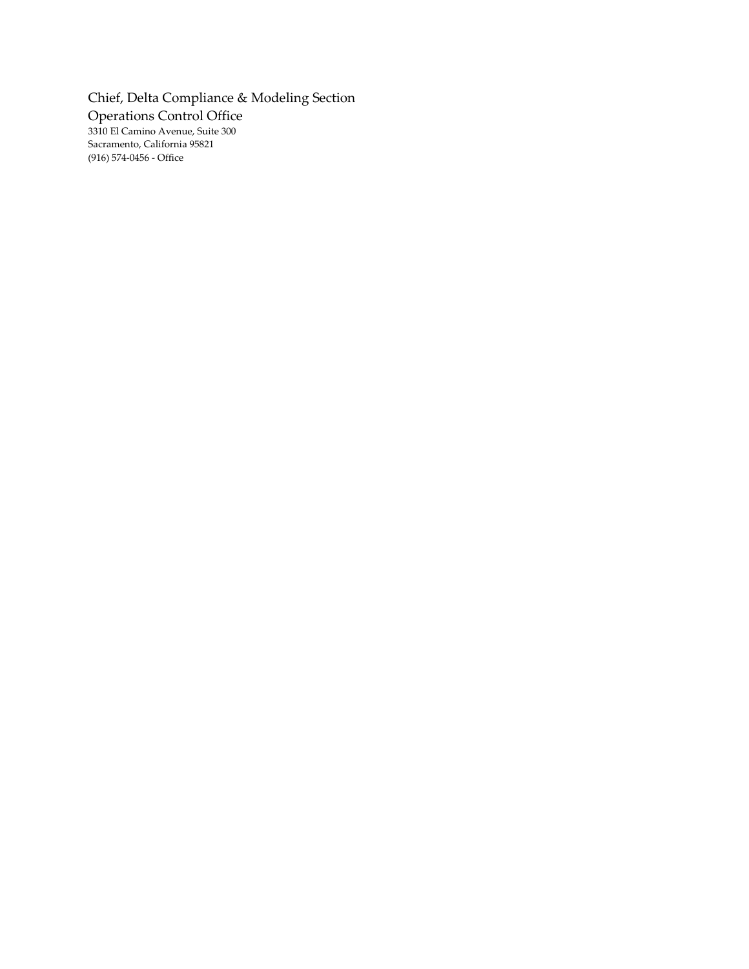Chief, Delta Compliance & Modeling Section Operations Control Office 3310 El Camino Avenue, Suite 300 Sacramento, California 95821 (916) 574-0456 - Office